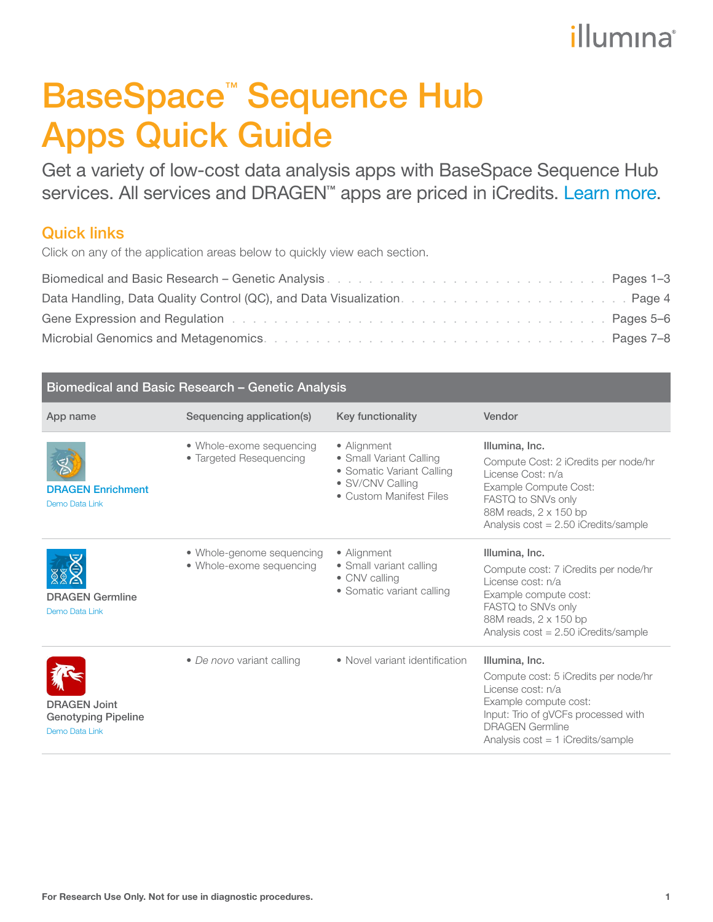## illumına

# <span id="page-0-0"></span>BaseSpace<sup>™</sup> Sequence Hub Apps Quick Guide

Get a variety of low-cost data analysis apps with BaseSpace Sequence Hub services. All services and DRAGEN<sup>™</sup> apps are priced in iCredits. [Learn more.](https://help.basespace.illumina.com/articles/descriptive/icredits-and-billing/#icredit-conversion])

### Quick links

Click on any of the application areas below to quickly view each section.

| Data Handling, Data Quality Control (QC), and Data Visualization. All and all all all all all all all Page 4   |  |
|----------------------------------------------------------------------------------------------------------------|--|
| Gene Expression and Regulation enterstation of the contract of the contract of the contract of the contract of |  |
|                                                                                                                |  |

| Biomedical and Basic Research - Genetic Analysis                    |                                                       |                                                                                                                    |                                                                                                                                                                                                              |
|---------------------------------------------------------------------|-------------------------------------------------------|--------------------------------------------------------------------------------------------------------------------|--------------------------------------------------------------------------------------------------------------------------------------------------------------------------------------------------------------|
| App name                                                            | Sequencing application(s)                             | Key functionality                                                                                                  | Vendor                                                                                                                                                                                                       |
| <b>DRAGEN Enrichment</b><br>Demo Data Link                          | • Whole-exome sequencing<br>• Targeted Resequencing   | • Alignment<br>• Small Variant Calling<br>• Somatic Variant Calling<br>· SV/CNV Calling<br>• Custom Manifest Files | Illumina, Inc.<br>Compute Cost: 2 iCredits per node/hr<br>License Cost: n/a<br>Example Compute Cost:<br>FASTQ to SNVs only<br>88M reads, 2 x 150 bp<br>Analysis cost = 2.50 iCredits/sample                  |
| <b>DRAGEN Germline</b><br>Demo Data Link                            | • Whole-genome sequencing<br>• Whole-exome sequencing | • Alignment<br>• Small variant calling<br>• CNV calling<br>• Somatic variant calling                               | Illumina, Inc.<br>Compute cost: 7 iCredits per node/hr<br>License cost: n/a<br>Example compute cost:<br>FASTQ to SNVs only<br>88M reads, 2 x 150 bp<br>Analysis $cost = 2.50$ iCredits/sample                |
| <b>DRAGEN Joint</b><br><b>Genotyping Pipeline</b><br>Demo Data Link | • De novo variant calling                             | • Novel variant identification                                                                                     | Illumina, Inc.<br>Compute cost: 5 iCredits per node/hr<br>License cost: n/a<br>Example compute cost:<br>Input: Trio of gVCFs processed with<br><b>DRAGEN Germline</b><br>Analysis $cost = 1$ iCredits/sample |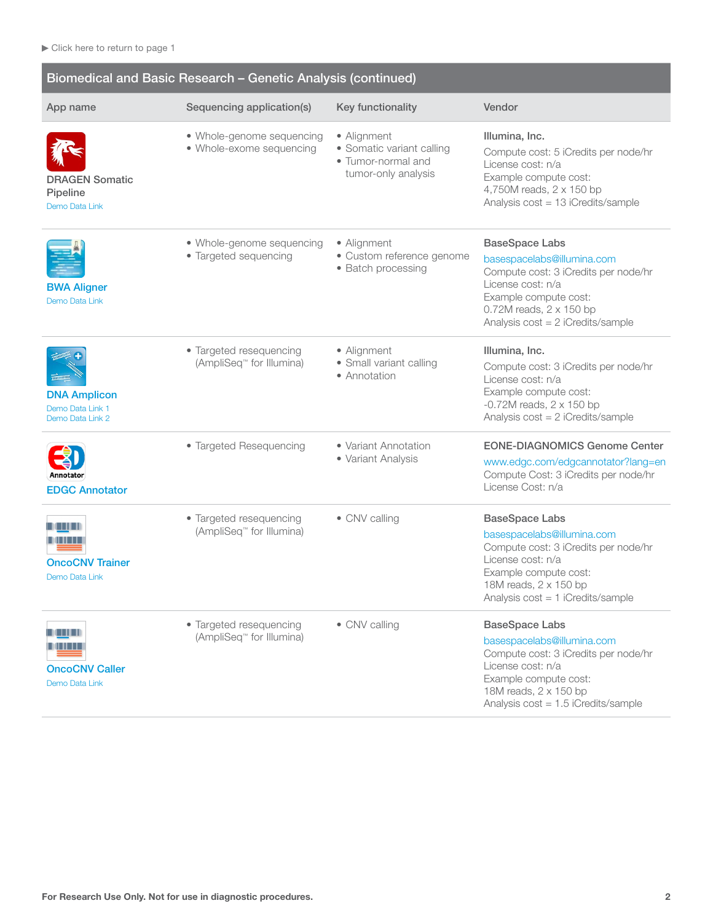| Biomedical and Basic Research - Genetic Analysis (continued) |                                                       |                                                                                       |                                                                                                                                                                                                             |
|--------------------------------------------------------------|-------------------------------------------------------|---------------------------------------------------------------------------------------|-------------------------------------------------------------------------------------------------------------------------------------------------------------------------------------------------------------|
| App name                                                     | Sequencing application(s)                             | Key functionality                                                                     | Vendor                                                                                                                                                                                                      |
| <b>DRAGEN Somatic</b><br>Pipeline<br>Demo Data Link          | • Whole-genome sequencing<br>• Whole-exome sequencing | • Alignment<br>• Somatic variant calling<br>· Tumor-normal and<br>tumor-only analysis | Illumina, Inc.<br>Compute cost: 5 iCredits per node/hr<br>License cost: n/a<br>Example compute cost:<br>4,750M reads, 2 x 150 bp<br>Analysis cost = 13 iCredits/sample                                      |
| <b>BWA Aligner</b><br>Demo Data Link                         | • Whole-genome sequencing<br>• Targeted sequencing    | • Alignment<br>· Custom reference genome<br>• Batch processing                        | <b>BaseSpace Labs</b><br>basespacelabs@illumina.com<br>Compute cost: 3 iCredits per node/hr<br>License cost: n/a<br>Example compute cost:<br>0.72M reads, 2 x 150 bp<br>Analysis cost = 2 iCredits/sample   |
| <b>DNA Amplicon</b><br>Demo Data Link 1<br>Demo Data Link 2  | • Targeted resequencing<br>(AmpliSeq™ for Illumina)   | • Alignment<br>· Small variant calling<br>• Annotation                                | Illumina, Inc.<br>Compute cost: 3 iCredits per node/hr<br>License cost: n/a<br>Example compute cost:<br>$-0.72M$ reads, $2 \times 150$ bp<br>Analysis $cost = 2$ iCredits/sample                            |
| Annotator<br><b>EDGC Annotator</b>                           | • Targeted Resequencing                               | • Variant Annotation<br>• Variant Analysis                                            | <b>EONE-DIAGNOMICS Genome Center</b><br>www.edgc.com/edgcannotator?lang=en<br>Compute Cost: 3 iCredits per node/hr<br>License Cost: n/a                                                                     |
| I II II II<br><b>OncoCNV Trainer</b><br>Demo Data Link       | • Targeted resequencing<br>(AmpliSeq™ for Illumina)   | • CNV calling                                                                         | <b>BaseSpace Labs</b><br>basespacelabs@illumina.com<br>Compute cost: 3 iCredits per node/hr<br>License cost: n/a<br>Example compute cost:<br>18M reads, 2 x 150 bp<br>Analysis $cost = 1$ iCredits/sample   |
| <b>MARITIN</b><br><b>OncoCNV Caller</b><br>Demo Data Link    | • Targeted resequencing<br>(AmpliSeq™ for Illumina)   | • CNV calling                                                                         | <b>BaseSpace Labs</b><br>basespacelabs@illumina.com<br>Compute cost: 3 iCredits per node/hr<br>License cost: n/a<br>Example compute cost:<br>18M reads, 2 x 150 bp<br>Analysis $cost = 1.5$ iCredits/sample |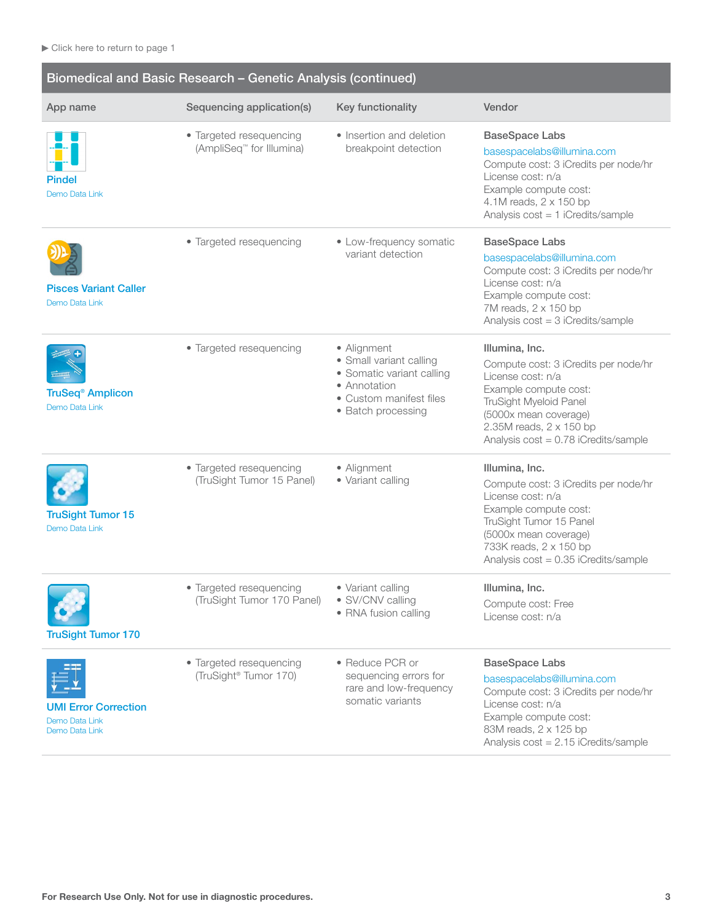| Biomedical and Basic Research - Genetic Analysis (continued)    |                                                                 |                                                                                                                                      |                                                                                                                                                                                                                              |
|-----------------------------------------------------------------|-----------------------------------------------------------------|--------------------------------------------------------------------------------------------------------------------------------------|------------------------------------------------------------------------------------------------------------------------------------------------------------------------------------------------------------------------------|
| App name                                                        | Sequencing application(s)                                       | Key functionality                                                                                                                    | Vendor                                                                                                                                                                                                                       |
| Pindel<br>Demo Data Link                                        | • Targeted resequencing<br>(AmpliSeq <sup>™</sup> for Illumina) | • Insertion and deletion<br>breakpoint detection                                                                                     | <b>BaseSpace Labs</b><br>basespacelabs@illumina.com<br>Compute cost: 3 iCredits per node/hr<br>License cost: n/a<br>Example compute cost:<br>4.1M reads, 2 x 150 bp<br>Analysis cost = 1 iCredits/sample                     |
| <b>Pisces Variant Caller</b><br>Demo Data Link                  | • Targeted resequencing                                         | • Low-frequency somatic<br>variant detection                                                                                         | <b>BaseSpace Labs</b><br>basespacelabs@illumina.com<br>Compute cost: 3 iCredits per node/hr<br>License cost: n/a<br>Example compute cost:<br>7M reads, 2 x 150 bp<br>Analysis cost = 3 iCredits/sample                       |
| <b>TruSeq<sup>®</sup> Amplicon</b><br>Demo Data Link            | • Targeted resequencing                                         | • Alignment<br>• Small variant calling<br>• Somatic variant calling<br>• Annotation<br>• Custom manifest files<br>• Batch processing | Illumina, Inc.<br>Compute cost: 3 iCredits per node/hr<br>License cost: n/a<br>Example compute cost:<br>TruSight Myeloid Panel<br>(5000x mean coverage)<br>2.35M reads, 2 x 150 bp<br>Analysis $cost = 0.78$ iCredits/sample |
| <b>TruSight Tumor 15</b><br>Demo Data Link                      | • Targeted resequencing<br>(TruSight Tumor 15 Panel)            | • Alignment<br>· Variant calling                                                                                                     | Illumina, Inc.<br>Compute cost: 3 iCredits per node/hr<br>License cost: n/a<br>Example compute cost:<br>TruSight Tumor 15 Panel<br>(5000x mean coverage)<br>733K reads, 2 x 150 bp<br>Analysis cost = 0.35 iCredits/sample   |
| <b>TruSight Tumor 170</b>                                       | • Targeted resequencing<br>(TruSight Tumor 170 Panel)           | · Variant calling<br>• SV/CNV calling<br>• RNA fusion calling                                                                        | Illumina, Inc.<br>Compute cost: Free<br>License cost: n/a                                                                                                                                                                    |
| <b>UMI Error Correction</b><br>Demo Data Link<br>Demo Data Link | • Targeted resequencing<br>(TruSight <sup>®</sup> Tumor 170)    | • Reduce PCR or<br>sequencing errors for<br>rare and low-frequency<br>somatic variants                                               | <b>BaseSpace Labs</b><br>basespacelabs@illumina.com<br>Compute cost: 3 iCredits per node/hr<br>License cost: n/a<br>Example compute cost:<br>83M reads, 2 x 125 bp<br>Analysis $cost = 2.15$ iCredits/sample                 |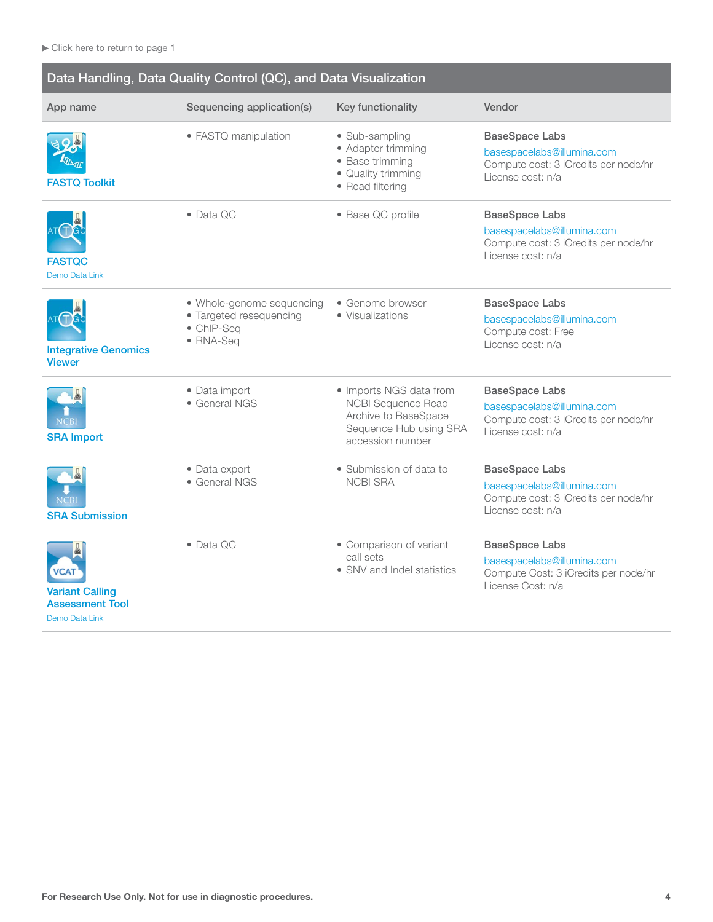<span id="page-3-0"></span>

| Data Handling, Data Quality Control (QC), and Data Visualization                  |                                                                                 |                                                                                                                            |                                                                                                                  |
|-----------------------------------------------------------------------------------|---------------------------------------------------------------------------------|----------------------------------------------------------------------------------------------------------------------------|------------------------------------------------------------------------------------------------------------------|
| App name                                                                          | Sequencing application(s)                                                       | Key functionality                                                                                                          | Vendor                                                                                                           |
| <b>FASTO Toolkit</b>                                                              | • FASTQ manipulation                                                            | • Sub-sampling<br>• Adapter trimming<br>• Base trimming<br>• Quality trimming<br>• Read filtering                          | <b>BaseSpace Labs</b><br>basespacelabs@illumina.com<br>Compute cost: 3 iCredits per node/hr<br>License cost: n/a |
| <b>FASTQC</b><br>Demo Data Link                                                   | $\bullet$ Data QC                                                               | • Base QC profile                                                                                                          | <b>BaseSpace Labs</b><br>basespacelabs@illumina.com<br>Compute cost: 3 iCredits per node/hr<br>License cost: n/a |
| <b>Integrative Genomics</b><br><b>Viewer</b>                                      | • Whole-genome sequencing<br>• Targeted resequencing<br>• ChIP-Seq<br>• RNA-Seq | • Genome browser<br>• Visualizations                                                                                       | <b>BaseSpace Labs</b><br>basespacelabs@illumina.com<br>Compute cost: Free<br>License cost: n/a                   |
| <b>NCBI</b><br><b>SRA Import</b>                                                  | • Data import<br>• General NGS                                                  | • Imports NGS data from<br><b>NCBI Sequence Read</b><br>Archive to BaseSpace<br>Sequence Hub using SRA<br>accession number | <b>BaseSpace Labs</b><br>basespacelabs@illumina.com<br>Compute cost: 3 iCredits per node/hr<br>License cost: n/a |
| <b>SRA Submission</b>                                                             | • Data export<br>• General NGS                                                  | • Submission of data to<br><b>NCBI SRA</b>                                                                                 | <b>BaseSpace Labs</b><br>basespacelabs@illumina.com<br>Compute cost: 3 iCredits per node/hr<br>License cost: n/a |
| <b>VCAT</b><br><b>Variant Calling</b><br><b>Assessment Tool</b><br>Demo Data Link | • Data QC                                                                       | • Comparison of variant<br>call sets<br>• SNV and Indel statistics                                                         | <b>BaseSpace Labs</b><br>basespacelabs@illumina.com<br>Compute Cost: 3 iCredits per node/hr<br>License Cost: n/a |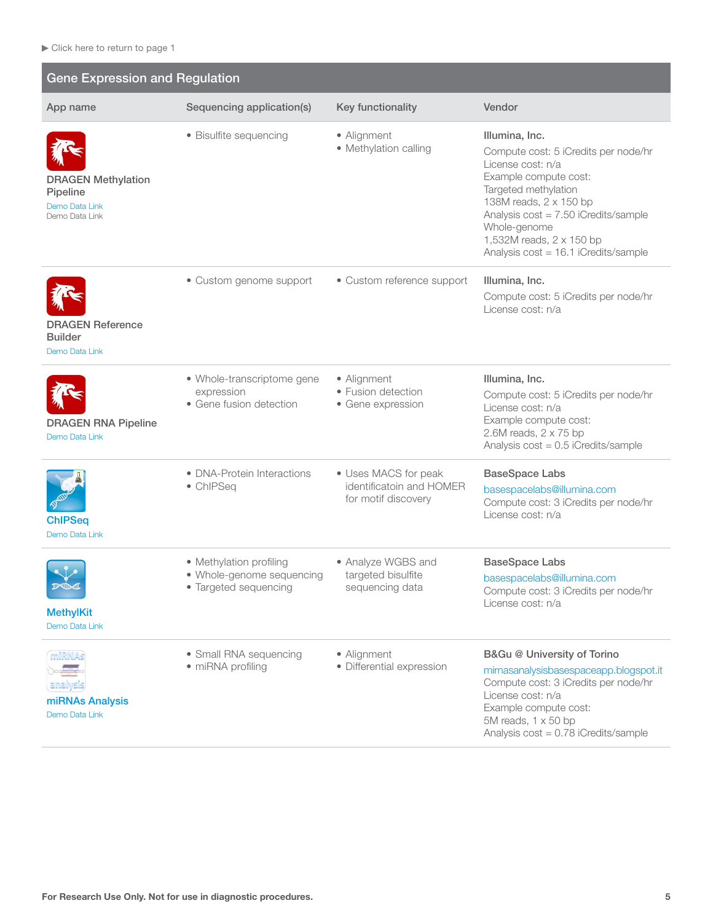<span id="page-4-0"></span>

| <b>Gene Expression and Regulation</b>                                            |                                                                               |                                                                         |                                                                                                                                                                                                                                                                                    |
|----------------------------------------------------------------------------------|-------------------------------------------------------------------------------|-------------------------------------------------------------------------|------------------------------------------------------------------------------------------------------------------------------------------------------------------------------------------------------------------------------------------------------------------------------------|
| App name                                                                         | Sequencing application(s)                                                     | Key functionality                                                       | Vendor                                                                                                                                                                                                                                                                             |
| <b>DRAGEN Methylation</b><br>Pipeline<br><b>Demo Data Link</b><br>Demo Data Link | • Bisulfite sequencing                                                        | • Alignment<br>• Methylation calling                                    | Illumina, Inc.<br>Compute cost: 5 iCredits per node/hr<br>License cost: n/a<br>Example compute cost:<br>Targeted methylation<br>138M reads, 2 x 150 bp<br>Analysis cost = 7.50 iCredits/sample<br>Whole-genome<br>1,532M reads, 2 x 150 bp<br>Analysis cost = 16.1 iCredits/sample |
| <b>DRAGEN Reference</b><br><b>Builder</b><br>Demo Data Link                      | • Custom genome support                                                       | • Custom reference support                                              | Illumina, Inc.<br>Compute cost: 5 iCredits per node/hr<br>License cost: n/a                                                                                                                                                                                                        |
| <b>DRAGEN RNA Pipeline</b><br>Demo Data Link                                     | • Whole-transcriptome gene<br>expression<br>• Gene fusion detection           | • Alignment<br>• Fusion detection<br>• Gene expression                  | Illumina, Inc.<br>Compute cost: 5 iCredits per node/hr<br>License cost: n/a<br>Example compute cost:<br>2.6M reads, $2 \times 75$ bp<br>Analysis $cost = 0.5$ iCredits/sample                                                                                                      |
| <b>ChIPSeq</b><br>Demo Data Link                                                 | • DNA-Protein Interactions<br>• ChIPSeq                                       | • Uses MACS for peak<br>identificatoin and HOMER<br>for motif discovery | <b>BaseSpace Labs</b><br>basespacelabs@illumina.com<br>Compute cost: 3 iCredits per node/hr<br>License cost: n/a                                                                                                                                                                   |
| <b>MethylKit</b><br>Demo Data Link                                               | • Methylation profiling<br>· Whole-genome sequencing<br>• Targeted sequencing | • Analyze WGBS and<br>targeted bisulfite<br>sequencing data             | <b>BaseSpace Labs</b><br>basespacelabs@illumina.com<br>Compute cost: 3 iCredits per node/hr<br>License cost: n/a                                                                                                                                                                   |
| miRNAs<br>analysis<br>miRNAs Analysis<br>Demo Data Link                          | • Small RNA sequencing<br>• miRNA profiling                                   | • Alignment<br>· Differential expression                                | B&Gu @ University of Torino<br>mirnasanalysisbasespaceapp.blogspot.it<br>Compute cost: 3 iCredits per node/hr<br>License cost: n/a<br>Example compute cost:<br>5M reads, 1 x 50 bp<br>Analysis cost = 0.78 iCredits/sample                                                         |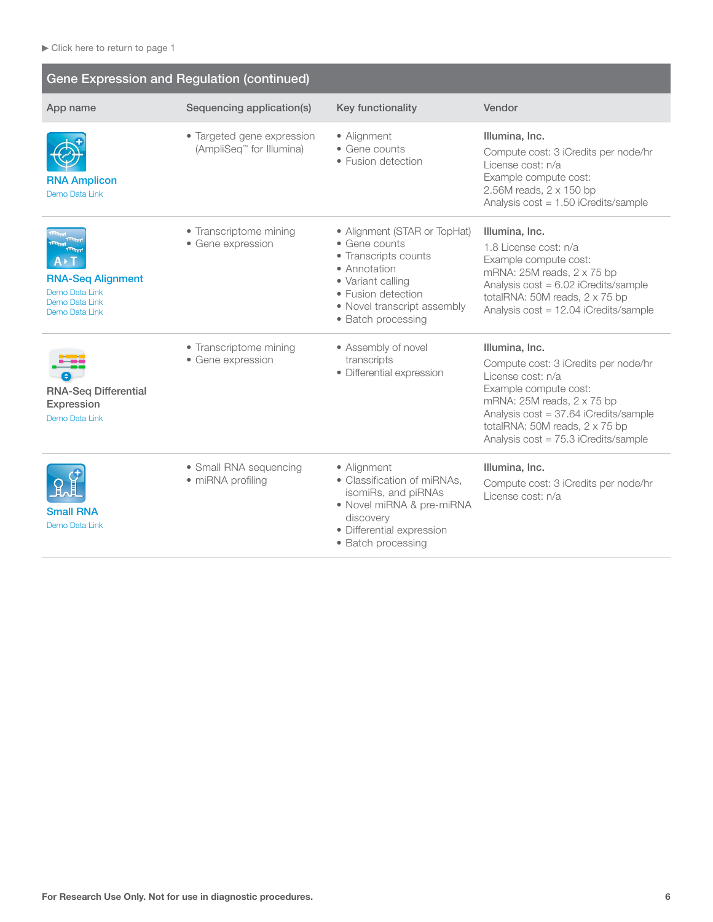| <b>Gene Expression and Regulation (continued)</b>                              |                                                        |                                                                                                                                                                                       |                                                                                                                                                                                                                                                       |
|--------------------------------------------------------------------------------|--------------------------------------------------------|---------------------------------------------------------------------------------------------------------------------------------------------------------------------------------------|-------------------------------------------------------------------------------------------------------------------------------------------------------------------------------------------------------------------------------------------------------|
| App name                                                                       | Sequencing application(s)                              | Key functionality                                                                                                                                                                     | Vendor                                                                                                                                                                                                                                                |
| <b>RNA Amplicon</b><br>Demo Data Link                                          | • Targeted gene expression<br>(AmpliSeq™ for Illumina) | • Alignment<br>• Gene counts<br>• Fusion detection                                                                                                                                    | Illumina, Inc.<br>Compute cost: 3 iCredits per node/hr<br>License cost: n/a<br>Example compute cost:<br>2.56M reads, 2 x 150 bp<br>Analysis cost = 1.50 iCredits/sample                                                                               |
| <b>RNA-Seq Alignment</b><br>Demo Data Link<br>Demo Data Link<br>Demo Data Link | • Transcriptome mining<br>• Gene expression            | • Alignment (STAR or TopHat)<br>• Gene counts<br>• Transcripts counts<br>• Annotation<br>• Variant calling<br>• Fusion detection<br>• Novel transcript assembly<br>• Batch processing | Illumina, Inc.<br>1.8 License cost: n/a<br>Example compute cost:<br>mRNA: $25M$ reads, $2 \times 75$ bp<br>Analysis cost = 6.02 iCredits/sample<br>totalRNA: 50M reads, 2 x 75 bp<br>Analysis cost = 12.04 iCredits/sample                            |
| <b>RNA-Seq Differential</b><br>Expression<br>Demo Data Link                    | • Transcriptome mining<br>• Gene expression            | • Assembly of novel<br>transcripts<br>• Differential expression                                                                                                                       | Illumina, Inc.<br>Compute cost: 3 iCredits per node/hr<br>License cost: n/a<br>Example compute cost:<br>mRNA: 25M reads, 2 x 75 bp<br>Analysis cost = 37.64 iCredits/sample<br>totalRNA: 50M reads, 2 x 75 bp<br>Analysis cost = 75.3 iCredits/sample |
| <b>Small RNA</b><br>Demo Data Link                                             | • Small RNA sequencing<br>• miRNA profiling            | • Alignment<br>• Classification of miRNAs.<br>isomiRs, and piRNAs<br>• Novel miRNA & pre-miRNA<br>discovery<br>· Differential expression<br>• Batch processing                        | Illumina, Inc.<br>Compute cost: 3 iCredits per node/hr<br>License cost: n/a                                                                                                                                                                           |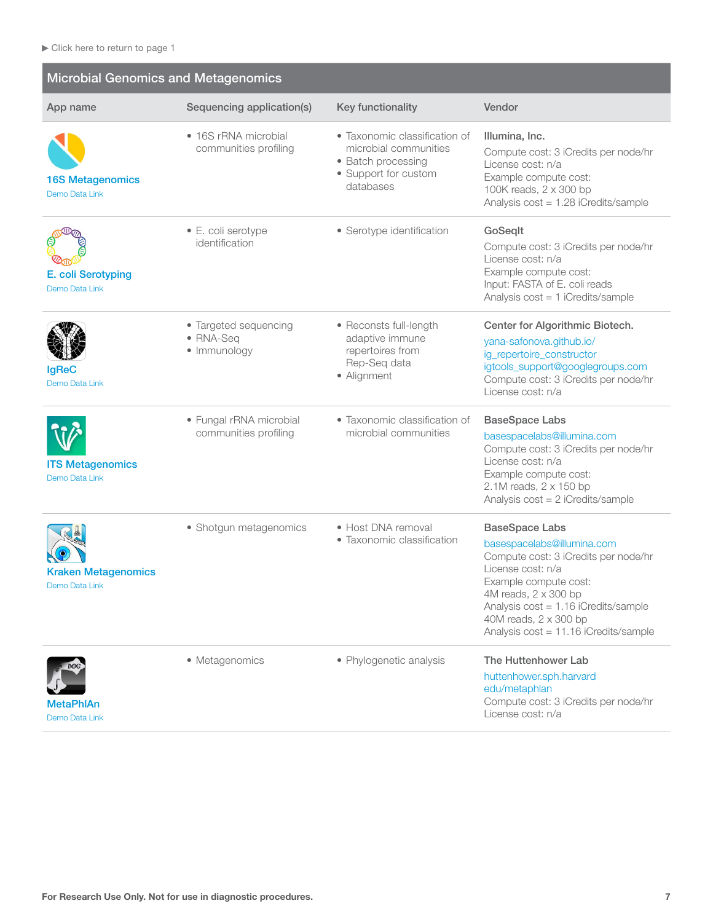**Service Controller** 

<span id="page-6-0"></span>

| <b>Microbial Genomics and Metagenomics</b>   |                                                    |                                                                                                                   |                                                                                                                                                                                                                                                                               |
|----------------------------------------------|----------------------------------------------------|-------------------------------------------------------------------------------------------------------------------|-------------------------------------------------------------------------------------------------------------------------------------------------------------------------------------------------------------------------------------------------------------------------------|
| App name                                     | Sequencing application(s)                          | Key functionality                                                                                                 | Vendor                                                                                                                                                                                                                                                                        |
| <b>16S Metagenomics</b><br>Demo Data Link    | • 16S rRNA microbial<br>communities profiling      | • Taxonomic classification of<br>microbial communities<br>• Batch processing<br>• Support for custom<br>databases | Illumina, Inc.<br>Compute cost: 3 iCredits per node/hr<br>License cost: n/a<br>Example compute cost:<br>100K reads, 2 x 300 bp<br>Analysis cost = 1.28 iCredits/sample                                                                                                        |
| E. coli Serotyping<br>Demo Data Link         | • E. coli serotype<br>identification               | • Serotype identification                                                                                         | GoSeglt<br>Compute cost: 3 iCredits per node/hr<br>License cost: n/a<br>Example compute cost:<br>Input: FASTA of E. coli reads<br>Analysis cost = 1 iCredits/sample                                                                                                           |
| <b>IgReC</b><br>Demo Data Link               | • Targeted sequencing<br>• RNA-Seq<br>· Immunology | • Reconsts full-length<br>adaptive immune<br>repertoires from<br>Rep-Seq data<br>• Alignment                      | Center for Algorithmic Biotech.<br>yana-safonova.github.io/<br>ig_repertoire_constructor<br>igtools_support@googlegroups.com<br>Compute cost: 3 iCredits per node/hr<br>License cost: n/a                                                                                     |
| <b>ITS Metagenomics</b><br>Demo Data Link    | • Fungal rRNA microbial<br>communities profiling   | • Taxonomic classification of<br>microbial communities                                                            | <b>BaseSpace Labs</b><br>basespacelabs@illumina.com<br>Compute cost: 3 iCredits per node/hr<br>License cost: n/a<br>Example compute cost:<br>2.1M reads, 2 x 150 bp<br>Analysis cost = 2 iCredits/sample                                                                      |
| <b>Kraken Metagenomics</b><br>Demo Data Link | • Shotgun metagenomics                             | • Host DNA removal<br>• Taxonomic classification                                                                  | <b>BaseSpace Labs</b><br>basespacelabs@illumina.com<br>Compute cost: 3 iCredits per node/hr<br>License cost: n/a<br>Example compute cost:<br>4M reads, 2 x 300 bp<br>Analysis $cost = 1.16$ iCredits/sample<br>40M reads, 2 x 300 bp<br>Analysis cost = 11.16 iCredits/sample |
| MetaPhlAn<br>Demo Data Link                  | • Metagenomics                                     | • Phylogenetic analysis                                                                                           | The Huttenhower Lab<br>huttenhower.sph.harvard<br>edu/metaphlan<br>Compute cost: 3 iCredits per node/hr<br>License cost: n/a                                                                                                                                                  |